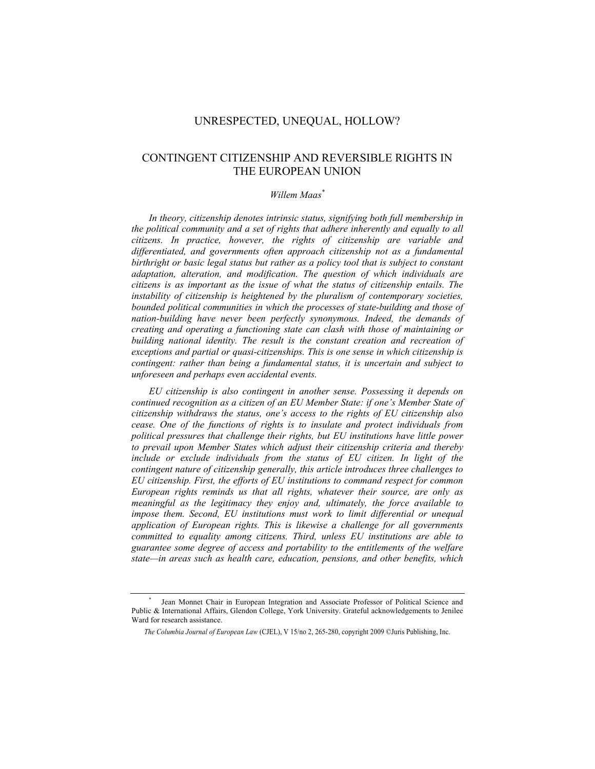## UNRESPECTED, UNEQUAL, HOLLOW?

# CONTINGENT CITIZENSHIP AND REVERSIBLE RIGHTS IN THE EUROPEAN UNION

## *Willem Maas\**

*In theory, citizenship denotes intrinsic status, signifying both full membership in the political community and a set of rights that adhere inherently and equally to all citizens. In practice, however, the rights of citizenship are variable and differentiated, and governments often approach citizenship not as a fundamental birthright or basic legal status but rather as a policy tool that is subject to constant adaptation, alteration, and modification. The question of which individuals are citizens is as important as the issue of what the status of citizenship entails. The instability of citizenship is heightened by the pluralism of contemporary societies, bounded political communities in which the processes of state-building and those of nation-building have never been perfectly synonymous. Indeed, the demands of creating and operating a functioning state can clash with those of maintaining or building national identity. The result is the constant creation and recreation of exceptions and partial or quasi-citizenships. This is one sense in which citizenship is contingent: rather than being a fundamental status, it is uncertain and subject to unforeseen and perhaps even accidental events.* 

*EU citizenship is also contingent in another sense. Possessing it depends on continued recognition as a citizen of an EU Member State: if one's Member State of citizenship withdraws the status, one's access to the rights of EU citizenship also cease. One of the functions of rights is to insulate and protect individuals from political pressures that challenge their rights, but EU institutions have little power to prevail upon Member States which adjust their citizenship criteria and thereby*  include or exclude individuals from the status of EU citizen. In light of the *contingent nature of citizenship generally, this article introduces three challenges to EU citizenship. First, the efforts of EU institutions to command respect for common European rights reminds us that all rights, whatever their source, are only as meaningful as the legitimacy they enjoy and, ultimately, the force available to impose them. Second, EU institutions must work to limit differential or unequal application of European rights. This is likewise a challenge for all governments committed to equality among citizens. Third, unless EU institutions are able to guarantee some degree of access and portability to the entitlements of the welfare state—in areas such as health care, education, pensions, and other benefits, which* 

<sup>\*</sup> Jean Monnet Chair in European Integration and Associate Professor of Political Science and Public & International Affairs, Glendon College, York University. Grateful acknowledgements to Jenilee Ward for research assistance.

*The Columbia Journal of European Law* (CJEL), V 15/no 2, 265-280, copyright 2009 ©Juris Publishing, Inc.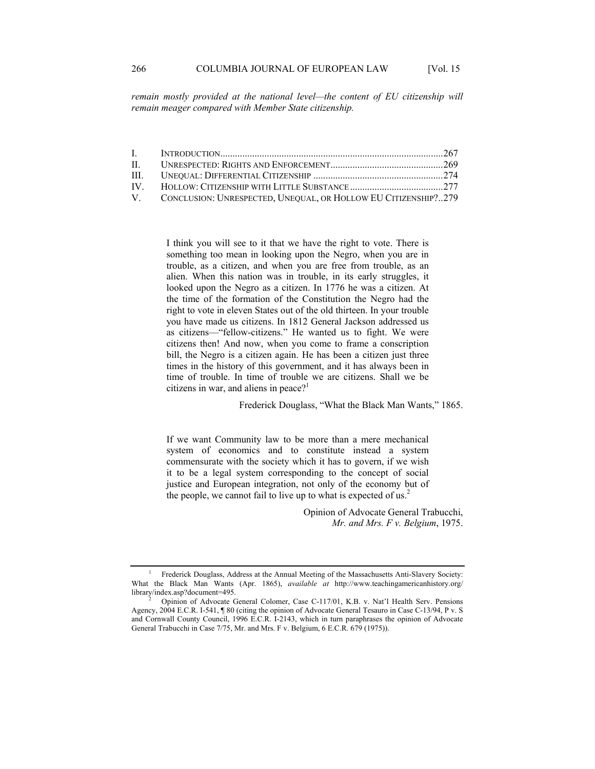*remain mostly provided at the national level—the content of EU citizenship will remain meager compared with Member State citizenship.* 

| $\mathbf{H}$ |                                                                   |  |
|--------------|-------------------------------------------------------------------|--|
|              |                                                                   |  |
|              |                                                                   |  |
|              | V. CONCLUSION: UNRESPECTED, UNEQUAL, OR HOLLOW EU CITIZENSHIP?279 |  |

I think you will see to it that we have the right to vote. There is something too mean in looking upon the Negro, when you are in trouble, as a citizen, and when you are free from trouble, as an alien. When this nation was in trouble, in its early struggles, it looked upon the Negro as a citizen. In 1776 he was a citizen. At the time of the formation of the Constitution the Negro had the right to vote in eleven States out of the old thirteen. In your trouble you have made us citizens. In 1812 General Jackson addressed us as citizens—"fellow-citizens." He wanted us to fight. We were citizens then! And now, when you come to frame a conscription bill, the Negro is a citizen again. He has been a citizen just three times in the history of this government, and it has always been in time of trouble. In time of trouble we are citizens. Shall we be citizens in war, and aliens in peace? $1$ 

Frederick Douglass, "What the Black Man Wants," 1865.

If we want Community law to be more than a mere mechanical system of economics and to constitute instead a system commensurate with the society which it has to govern, if we wish it to be a legal system corresponding to the concept of social justice and European integration, not only of the economy but of the people, we cannot fail to live up to what is expected of  $us^2$ .

> Opinion of Advocate General Trabucchi, *Mr. and Mrs. F v. Belgium*, 1975.

<sup>1</sup> Frederick Douglass, Address at the Annual Meeting of the Massachusetts Anti-Slavery Society: What the Black Man Wants (Apr. 1865), *available at* http://www.teachingamericanhistory.org/ library/index.asp?document=495. 2

Opinion of Advocate General Colomer, Case C-117/01, K.B. v. Nat'l Health Serv. Pensions Agency, 2004 E.C.R. I-541, ¶ 80 (citing the opinion of Advocate General Tesauro in Case C-13/94, P v. S and Cornwall County Council, 1996 E.C.R. I-2143, which in turn paraphrases the opinion of Advocate General Trabucchi in Case 7/75, Mr. and Mrs. F v. Belgium, 6 E.C.R. 679 (1975)).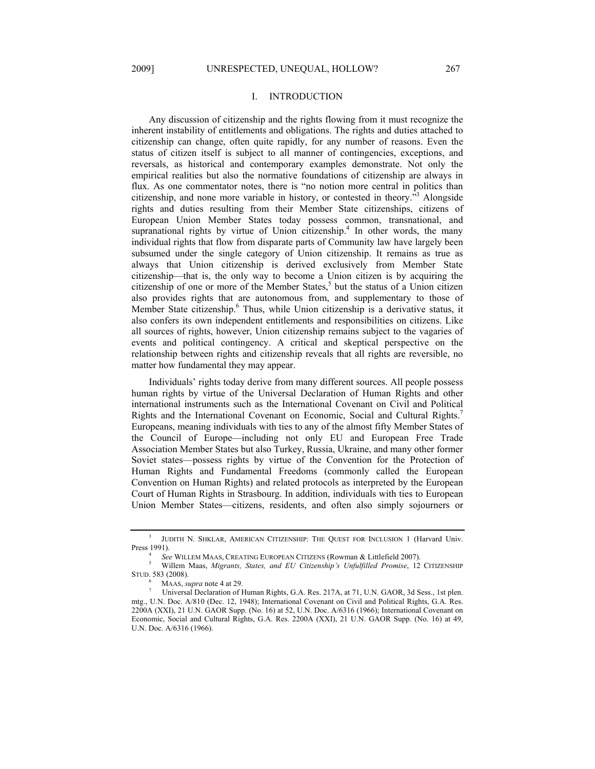## I. INTRODUCTION

Any discussion of citizenship and the rights flowing from it must recognize the inherent instability of entitlements and obligations. The rights and duties attached to citizenship can change, often quite rapidly, for any number of reasons. Even the status of citizen itself is subject to all manner of contingencies, exceptions, and reversals, as historical and contemporary examples demonstrate. Not only the empirical realities but also the normative foundations of citizenship are always in flux. As one commentator notes, there is "no notion more central in politics than citizenship, and none more variable in history, or contested in theory.<sup>53</sup> Alongside rights and duties resulting from their Member State citizenships, citizens of European Union Member States today possess common, transnational, and supranational rights by virtue of Union citizenship.<sup>4</sup> In other words, the many individual rights that flow from disparate parts of Community law have largely been subsumed under the single category of Union citizenship. It remains as true as always that Union citizenship is derived exclusively from Member State citizenship—that is, the only way to become a Union citizen is by acquiring the citizenship of one or more of the Member States,<sup>5</sup> but the status of a Union citizen also provides rights that are autonomous from, and supplementary to those of Member State citizenship.<sup>6</sup> Thus, while Union citizenship is a derivative status, it also confers its own independent entitlements and responsibilities on citizens. Like all sources of rights, however, Union citizenship remains subject to the vagaries of events and political contingency. A critical and skeptical perspective on the relationship between rights and citizenship reveals that all rights are reversible, no matter how fundamental they may appear.

Individuals' rights today derive from many different sources. All people possess human rights by virtue of the Universal Declaration of Human Rights and other international instruments such as the International Covenant on Civil and Political Rights and the International Covenant on Economic, Social and Cultural Rights.7 Europeans, meaning individuals with ties to any of the almost fifty Member States of the Council of Europe—including not only EU and European Free Trade Association Member States but also Turkey, Russia, Ukraine, and many other former Soviet states—possess rights by virtue of the Convention for the Protection of Human Rights and Fundamental Freedoms (commonly called the European Convention on Human Rights) and related protocols as interpreted by the European Court of Human Rights in Strasbourg. In addition, individuals with ties to European Union Member States—citizens, residents, and often also simply sojourners or

<sup>3</sup> JUDITH N. SHKLAR, AMERICAN CITIZENSHIP: THE QUEST FOR INCLUSION 1 (Harvard Univ. Press 1991).

<sup>&</sup>lt;sup>4</sup> See WILLEM MAAS, CREATING EUROPEAN CITIZENS (Rowman & Littlefield 2007).<br><sup>5</sup> Willom Mags, *Micropts, States, and EU Citizenship's Unfulfilled Promise*, 12

Willem Maas, *Migrants, States, and EU Citizenship's Unfulfilled Promise*, 12 CITIZENSHIP STUD. 583 (2008).

<sup>6</sup> MAAS, *supra* note 4 at 29.

Universal Declaration of Human Rights, G.A. Res. 217A, at 71, U.N. GAOR, 3d Sess., 1st plen. mtg., U.N. Doc. A/810 (Dec. 12, 1948); International Covenant on Civil and Political Rights, G.A. Res. 2200A (XXI), 21 U.N. GAOR Supp. (No. 16) at 52, U.N. Doc. A/6316 (1966); International Covenant on Economic, Social and Cultural Rights, G.A. Res. 2200A (XXI), 21 U.N. GAOR Supp. (No. 16) at 49, U.N. Doc. A/6316 (1966).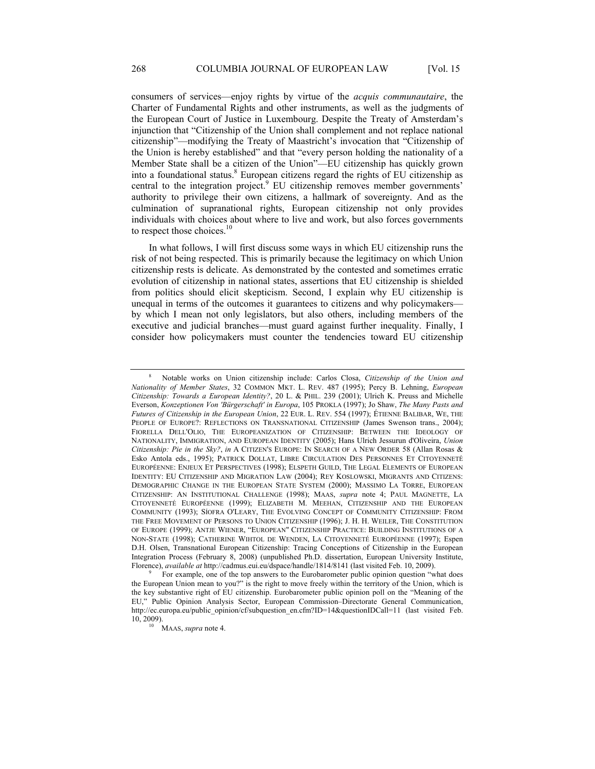consumers of services—enjoy rights by virtue of the *acquis communautaire*, the Charter of Fundamental Rights and other instruments, as well as the judgments of the European Court of Justice in Luxembourg. Despite the Treaty of Amsterdam's injunction that "Citizenship of the Union shall complement and not replace national citizenship"—modifying the Treaty of Maastricht's invocation that "Citizenship of the Union is hereby established" and that "every person holding the nationality of a Member State shall be a citizen of the Union"—EU citizenship has quickly grown into a foundational status.<sup>8</sup> European citizens regard the rights of EU citizenship as central to the integration project.<sup>9</sup> EU citizenship removes member governments' authority to privilege their own citizens, a hallmark of sovereignty. And as the culmination of supranational rights, European citizenship not only provides individuals with choices about where to live and work, but also forces governments to respect those choices.<sup>10</sup>

In what follows, I will first discuss some ways in which EU citizenship runs the risk of not being respected. This is primarily because the legitimacy on which Union citizenship rests is delicate. As demonstrated by the contested and sometimes erratic evolution of citizenship in national states, assertions that EU citizenship is shielded from politics should elicit skepticism. Second, I explain why EU citizenship is unequal in terms of the outcomes it guarantees to citizens and why policymakers by which I mean not only legislators, but also others, including members of the executive and judicial branches—must guard against further inequality. Finally, I consider how policymakers must counter the tendencies toward EU citizenship

<sup>8</sup> Notable works on Union citizenship include: Carlos Closa, *Citizenship of the Union and Nationality of Member States*, 32 COMMON MKT. L. REV. 487 (1995); Percy B. Lehning, *European Citizenship: Towards a European Identity?*, 20 L. & PHIL. 239 (2001); Ulrich K. Preuss and Michelle Everson, *Konzeptionen Von 'Bürgerschaft' in Europa*, 105 PROKLA (1997); Jo Shaw, *The Many Pasts and Futures of Citizenship in the European Union*, 22 EUR. L. REV. 554 (1997); ÉTIENNE BALIBAR, WE, THE PEOPLE OF EUROPE?: REFLECTIONS ON TRANSNATIONAL CITIZENSHIP (James Swenson trans., 2004); FIORELLA DELL'OLIO, THE EUROPEANIZATION OF CITIZENSHIP: BETWEEN THE IDEOLOGY OF NATIONALITY, IMMIGRATION, AND EUROPEAN IDENTITY (2005); Hans Ulrich Jessurun d'Oliveira, *Union Citizenship: Pie in the Sky?*, *in* A CITIZEN'S EUROPE: IN SEARCH OF A NEW ORDER 58 (Allan Rosas & Esko Antola eds., 1995); PATRICK DOLLAT, LIBRE CIRCULATION DES PERSONNES ET CITOYENNETÉ EUROPÉENNE: ENJEUX ET PERSPECTIVES (1998); ELSPETH GUILD, THE LEGAL ELEMENTS OF EUROPEAN IDENTITY: EU CITIZENSHIP AND MIGRATION LAW (2004); REY KOSLOWSKI, MIGRANTS AND CITIZENS: DEMOGRAPHIC CHANGE IN THE EUROPEAN STATE SYSTEM (2000); MASSIMO LA TORRE, EUROPEAN CITIZENSHIP: AN INSTITUTIONAL CHALLENGE (1998); MAAS, *supra* note 4; PAUL MAGNETTE, LA CITOYENNETÉ EUROPÉENNE (1999); ELIZABETH M. MEEHAN, CITIZENSHIP AND THE EUROPEAN COMMUNITY (1993); SÍOFRA O'LEARY, THE EVOLVING CONCEPT OF COMMUNITY CITIZENSHIP: FROM THE FREE MOVEMENT OF PERSONS TO UNION CITIZENSHIP (1996); J. H. H. WEILER, THE CONSTITUTION OF EUROPE (1999); ANTJE WIENER, "EUROPEAN" CITIZENSHIP PRACTICE: BUILDING INSTITUTIONS OF A NON-STATE (1998); CATHERINE WIHTOL DE WENDEN, LA CITOYENNETÉ EUROPÉENNE (1997); Espen D.H. Olsen, Transnational European Citizenship: Tracing Conceptions of Citizenship in the European Integration Process (February 8, 2008) (unpublished Ph.D. dissertation, European University Institute, Florence), *available at* http://cadmus.eui.eu/dspace/handle/1814/8141 (last visited Feb. 10, 2009).

For example, one of the top answers to the Eurobarometer public opinion question "what does the European Union mean to you?" is the right to move freely within the territory of the Union, which is the key substantive right of EU citizenship. Eurobarometer public opinion poll on the "Meaning of the EU," Public Opinion Analysis Sector, European Commission–Directorate General Communication, http://ec.europa.eu/public\_opinion/cf/subquestion\_en.cfm?ID=14&questionIDCall=11 (last visited Feb. 10, 2009). 10 MAAS, *supra* note 4.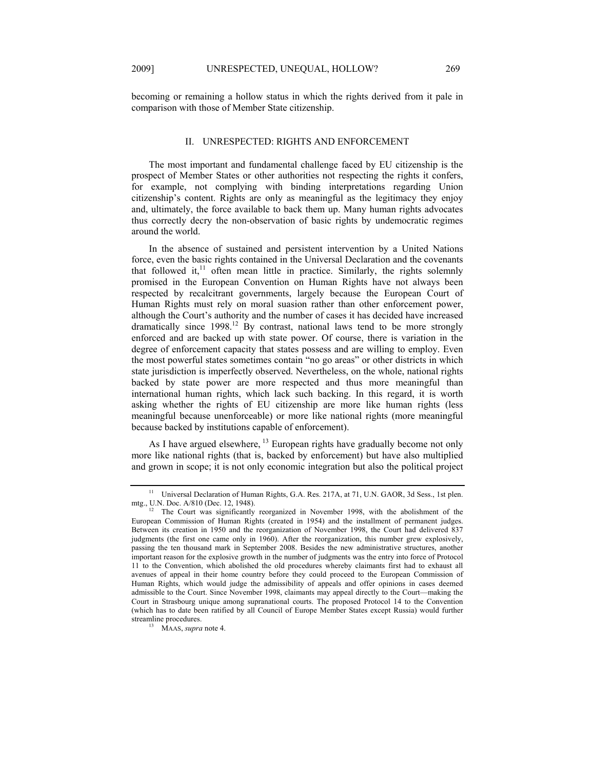becoming or remaining a hollow status in which the rights derived from it pale in comparison with those of Member State citizenship.

#### II. UNRESPECTED: RIGHTS AND ENFORCEMENT

The most important and fundamental challenge faced by EU citizenship is the prospect of Member States or other authorities not respecting the rights it confers, for example, not complying with binding interpretations regarding Union citizenship's content. Rights are only as meaningful as the legitimacy they enjoy and, ultimately, the force available to back them up. Many human rights advocates thus correctly decry the non-observation of basic rights by undemocratic regimes around the world.

In the absence of sustained and persistent intervention by a United Nations force, even the basic rights contained in the Universal Declaration and the covenants that followed it, $<sup>11</sup>$  often mean little in practice. Similarly, the rights solemnly</sup> promised in the European Convention on Human Rights have not always been respected by recalcitrant governments, largely because the European Court of Human Rights must rely on moral suasion rather than other enforcement power, although the Court's authority and the number of cases it has decided have increased dramatically since  $1998$ <sup>12</sup> By contrast, national laws tend to be more strongly enforced and are backed up with state power. Of course, there is variation in the degree of enforcement capacity that states possess and are willing to employ. Even the most powerful states sometimes contain "no go areas" or other districts in which state jurisdiction is imperfectly observed. Nevertheless, on the whole, national rights backed by state power are more respected and thus more meaningful than international human rights, which lack such backing. In this regard, it is worth asking whether the rights of EU citizenship are more like human rights (less meaningful because unenforceable) or more like national rights (more meaningful because backed by institutions capable of enforcement).

As I have argued elsewhere, <sup>13</sup> European rights have gradually become not only more like national rights (that is, backed by enforcement) but have also multiplied and grown in scope; it is not only economic integration but also the political project

<sup>&</sup>lt;sup>11</sup> Universal Declaration of Human Rights, G.A. Res. 217A, at 71, U.N. GAOR, 3d Sess., 1st plen. mtg., U.N. Doc. A/810 (Dec. 12, 1948).

 $12$  The Court was significantly reorganized in November 1998, with the abolishment of the European Commission of Human Rights (created in 1954) and the installment of permanent judges. Between its creation in 1950 and the reorganization of November 1998, the Court had delivered 837 judgments (the first one came only in 1960). After the reorganization, this number grew explosively, passing the ten thousand mark in September 2008. Besides the new administrative structures, another important reason for the explosive growth in the number of judgments was the entry into force of Protocol 11 to the Convention, which abolished the old procedures whereby claimants first had to exhaust all avenues of appeal in their home country before they could proceed to the European Commission of Human Rights, which would judge the admissibility of appeals and offer opinions in cases deemed admissible to the Court. Since November 1998, claimants may appeal directly to the Court—making the Court in Strasbourg unique among supranational courts. The proposed Protocol 14 to the Convention (which has to date been ratified by all Council of Europe Member States except Russia) would further streamline procedures. 13 MAAS, *supra* note 4.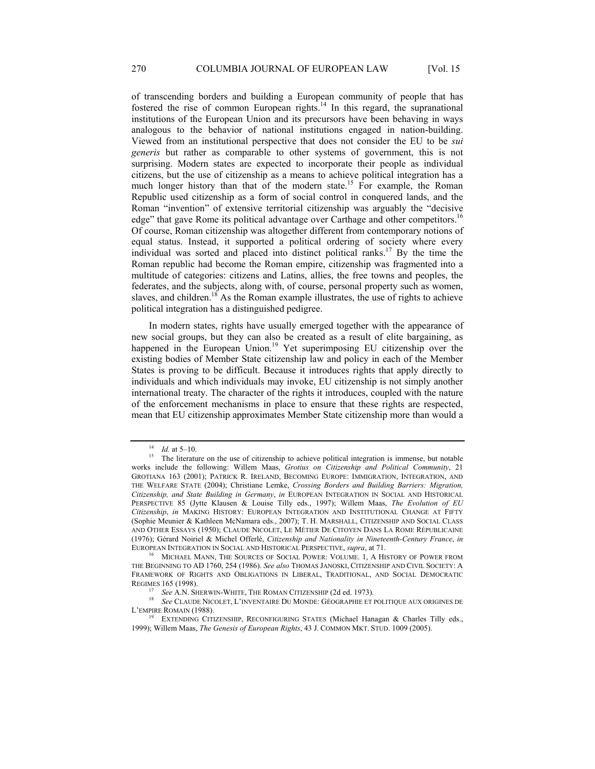of transcending borders and building a European community of people that has fostered the rise of common European rights.<sup>14</sup> In this regard, the supranational institutions of the European Union and its precursors have been behaving in ways analogous to the behavior of national institutions engaged in nation-building. Viewed from an institutional perspective that does not consider the EU to be *sui generis* but rather as comparable to other systems of government, this is not surprising. Modern states are expected to incorporate their people as individual citizens, but the use of citizenship as a means to achieve political integration has a much longer history than that of the modern state.<sup>15</sup> For example, the Roman Republic used citizenship as a form of social control in conquered lands, and the Roman "invention" of extensive territorial citizenship was arguably the "decisive edge" that gave Rome its political advantage over Carthage and other competitors.<sup>16</sup> Of course, Roman citizenship was altogether different from contemporary notions of equal status. Instead, it supported a political ordering of society where every individual was sorted and placed into distinct political ranks.17 By the time the Roman republic had become the Roman empire, citizenship was fragmented into a multitude of categories: citizens and Latins, allies, the free towns and peoples, the federates, and the subjects, along with, of course, personal property such as women, slaves, and children.<sup>18</sup> As the Roman example illustrates, the use of rights to achieve political integration has a distinguished pedigree.

In modern states, rights have usually emerged together with the appearance of new social groups, but they can also be created as a result of elite bargaining, as happened in the European Union.<sup>19</sup> Yet superimposing EU citizenship over the existing bodies of Member State citizenship law and policy in each of the Member States is proving to be difficult. Because it introduces rights that apply directly to individuals and which individuals may invoke, EU citizenship is not simply another international treaty. The character of the rights it introduces, coupled with the nature of the enforcement mechanisms in place to ensure that these rights are respected, mean that EU citizenship approximates Member State citizenship more than would a

<sup>&</sup>lt;sup>14</sup>*Id.* at 5–10.<br><sup>15</sup> The literature on the use of citizenship to achieve political integration is immense, but notable works include the following: Willem Maas, *Grotius on Citizenship and Political Community*, 21 GROTIANA 163 (2001); PATRICK R. IRELAND, BECOMING EUROPE: IMMIGRATION, INTEGRATION, AND THE WELFARE STATE (2004); Christiane Lemke, *Crossing Borders and Building Barriers: Migration, Citizenship, and State Building in Germany*, *in* EUROPEAN INTEGRATION IN SOCIAL AND HISTORICAL PERSPECTIVE 85 (Jytte Klausen & Louise Tilly eds., 1997); Willem Maas, *The Evolution of EU Citizenship*, *in* MAKING HISTORY: EUROPEAN INTEGRATION AND INSTITUTIONAL CHANGE AT FIFTY (Sophie Meunier & Kathleen McNamara eds., 2007); T. H. MARSHALL, CITIZENSHIP AND SOCIAL CLASS AND OTHER ESSAYS (1950); CLAUDE NICOLET, LE MÉTIER DE CITOYEN DANS LA ROME RÉPUBLICAINE (1976); Gérard Noiriel & Michel Offerlé, *Citizenship and Nationality in Nineteenth-Century France*, *in* EUROPEAN INTEGRATION IN SOCIAL AND HISTORICAL PERSPECTIVE, *supra*, at 71.<br><sup>16</sup> MICHAEL MANN, THE SOURCES OF SOCIAL POWER: VOLUME. 1, A HISTORY OF POWER FROM

THE BEGINNING TO AD 1760, 254 (1986). *See also* THOMAS JANOSKI, CITIZENSHIP AND CIVIL SOCIETY: A FRAMEWORK OF RIGHTS AND OBLIGATIONS IN LIBERAL, TRADITIONAL, AND SOCIAL DEMOCRATIC

REGIMES 165 (1998).<br><sup>17</sup> *See* A.N. Sherwin-White, The Roman Citizenship (2d ed. 1973).<br><sup>18</sup> *See* CLAUDE NICOLET, L'INVENTAIRE DU MONDE: GÉOGRAPHIE ET POLITIQUE AUX ORIGINES DE L'EMPIRE ROMAIN (1988).<br><sup>19</sup> EXTENDING CITIZENSHIP, RECONFIGURING STATES (Michael Hanagan & Charles Tilly eds.,

<sup>1999);</sup> Willem Maas, *The Genesis of European Rights*, 43 J. COMMON MKT. STUD. 1009 (2005).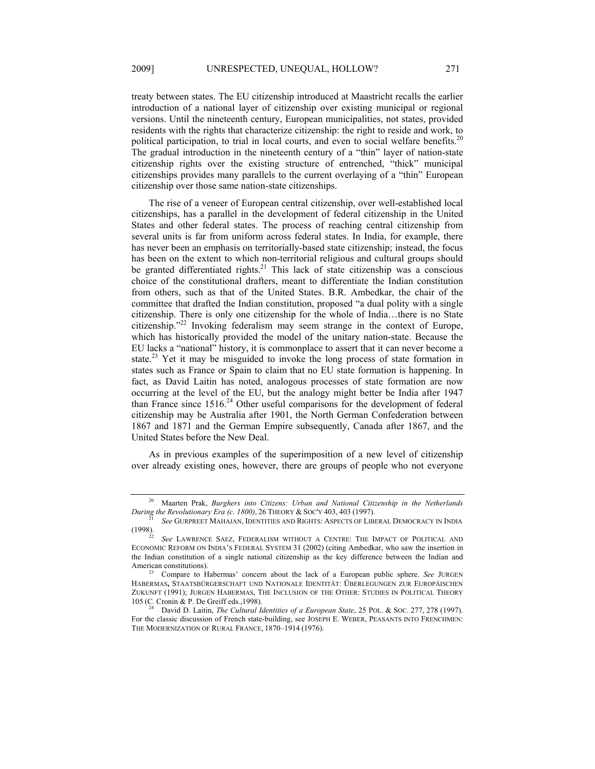treaty between states. The EU citizenship introduced at Maastricht recalls the earlier introduction of a national layer of citizenship over existing municipal or regional versions. Until the nineteenth century, European municipalities, not states, provided residents with the rights that characterize citizenship: the right to reside and work, to political participation, to trial in local courts, and even to social welfare benefits.<sup>20</sup> The gradual introduction in the nineteenth century of a "thin" layer of nation-state citizenship rights over the existing structure of entrenched, "thick" municipal citizenships provides many parallels to the current overlaying of a "thin" European citizenship over those same nation-state citizenships.

The rise of a veneer of European central citizenship, over well-established local citizenships, has a parallel in the development of federal citizenship in the United States and other federal states. The process of reaching central citizenship from several units is far from uniform across federal states. In India, for example, there has never been an emphasis on territorially-based state citizenship; instead, the focus has been on the extent to which non-territorial religious and cultural groups should be granted differentiated rights.<sup>21</sup> This lack of state citizenship was a conscious choice of the constitutional drafters, meant to differentiate the Indian constitution from others, such as that of the United States. B.R. Ambedkar, the chair of the committee that drafted the Indian constitution, proposed "a dual polity with a single citizenship. There is only one citizenship for the whole of India…there is no State citizenship."22 Invoking federalism may seem strange in the context of Europe, which has historically provided the model of the unitary nation-state. Because the EU lacks a "national" history, it is commonplace to assert that it can never become a state.<sup>23</sup> Yet it may be misguided to invoke the long process of state formation in states such as France or Spain to claim that no EU state formation is happening. In fact, as David Laitin has noted, analogous processes of state formation are now occurring at the level of the EU, but the analogy might better be India after 1947 than France since  $1516<sup>24</sup>$  Other useful comparisons for the development of federal citizenship may be Australia after 1901, the North German Confederation between 1867 and 1871 and the German Empire subsequently, Canada after 1867, and the United States before the New Deal.

As in previous examples of the superimposition of a new level of citizenship over already existing ones, however, there are groups of people who not everyone

<sup>&</sup>lt;sup>20</sup> Maarten Prak, *Burghers into Citizens: Urban and National Citizenship in the Netherlands During the Revolutionary Era (c. 1800), 26 THEORY & SOC'Y 403, 403 (1997).* 

<sup>&</sup>lt;sup>21</sup> *See* GURPREET MAHAJAN, IDENTITIES AND RIGHTS: ASPECTS OF LIBERAL DEMOCRACY IN INDIA<br>(1998).

See LAWRENCE SAEZ, FEDERALISM WITHOUT A CENTRE: THE IMPACT OF POLITICAL AND ECONOMIC REFORM ON INDIA'S FEDERAL SYSTEM 31 (2002) (citing Ambedkar, who saw the insertion in the Indian constitution of a single national citizenship as the key difference between the Indian and

Compare to Habermas' concern about the lack of a European public sphere. *See JURGEN* HABERMAS**,** STAATSBÜRGERSCHAFT UND NATIONALE IDENTITÄT: ÜBERLEGUNGEN ZUR EUROPÄISCHEN ZUKUNFT (1991); JURGEN HABERMAS, THE INCLUSION OF THE OTHER: STUDIES IN POLITICAL THEORY 105 (C. Cronin & P. De Greiff eds., 1998).

<sup>24</sup> David D. Laitin, *The Cultural Identities of a European State*, 25 POL. & SOC. 277, 278 (1997). For the classic discussion of French state-building, see JOSEPH E. WEBER, PEASANTS INTO FRENCHMEN: THE MODERNIZATION OF RURAL FRANCE, 1870–1914 (1976).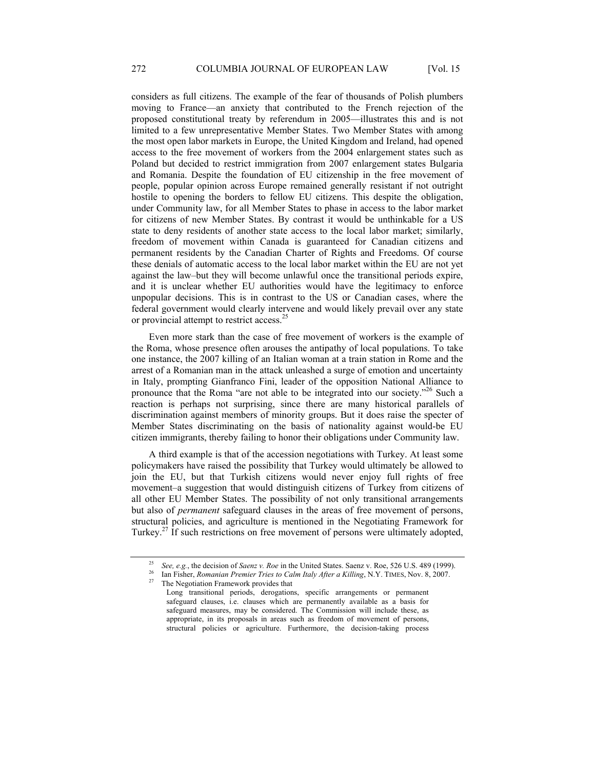considers as full citizens. The example of the fear of thousands of Polish plumbers moving to France—an anxiety that contributed to the French rejection of the proposed constitutional treaty by referendum in 2005—illustrates this and is not limited to a few unrepresentative Member States. Two Member States with among the most open labor markets in Europe, the United Kingdom and Ireland, had opened access to the free movement of workers from the 2004 enlargement states such as Poland but decided to restrict immigration from 2007 enlargement states Bulgaria and Romania. Despite the foundation of EU citizenship in the free movement of people, popular opinion across Europe remained generally resistant if not outright hostile to opening the borders to fellow EU citizens. This despite the obligation, under Community law, for all Member States to phase in access to the labor market for citizens of new Member States. By contrast it would be unthinkable for a US state to deny residents of another state access to the local labor market; similarly, freedom of movement within Canada is guaranteed for Canadian citizens and permanent residents by the Canadian Charter of Rights and Freedoms. Of course these denials of automatic access to the local labor market within the EU are not yet against the law–but they will become unlawful once the transitional periods expire, and it is unclear whether EU authorities would have the legitimacy to enforce unpopular decisions. This is in contrast to the US or Canadian cases, where the federal government would clearly intervene and would likely prevail over any state or provincial attempt to restrict access.25

Even more stark than the case of free movement of workers is the example of the Roma, whose presence often arouses the antipathy of local populations. To take one instance, the 2007 killing of an Italian woman at a train station in Rome and the arrest of a Romanian man in the attack unleashed a surge of emotion and uncertainty in Italy, prompting Gianfranco Fini, leader of the opposition National Alliance to pronounce that the Roma "are not able to be integrated into our society."26 Such a reaction is perhaps not surprising, since there are many historical parallels of discrimination against members of minority groups. But it does raise the specter of Member States discriminating on the basis of nationality against would-be EU citizen immigrants, thereby failing to honor their obligations under Community law.

A third example is that of the accession negotiations with Turkey. At least some policymakers have raised the possibility that Turkey would ultimately be allowed to join the EU, but that Turkish citizens would never enjoy full rights of free movement–a suggestion that would distinguish citizens of Turkey from citizens of all other EU Member States. The possibility of not only transitional arrangements but also of *permanent* safeguard clauses in the areas of free movement of persons, structural policies, and agriculture is mentioned in the Negotiating Framework for Turkey.27 If such restrictions on free movement of persons were ultimately adopted,

<sup>&</sup>lt;sup>25</sup> *See, e.g.*, the decision of *Saenz v. Roe* in the United States. Saenz v. Roe, 526 U.S. 489 (1999).<br><sup>26</sup> Ian Fisher, *Romanian Premier Tries to Calm Italy After a Killing*, N.Y. TIMES, Nov. 8, 2007.<br><sup>27</sup> The Negotia

Long transitional periods, derogations, specific arrangements or permanent safeguard clauses, i.e. clauses which are permanently available as a basis for safeguard measures, may be considered. The Commission will include these, as appropriate, in its proposals in areas such as freedom of movement of persons, structural policies or agriculture. Furthermore, the decision-taking process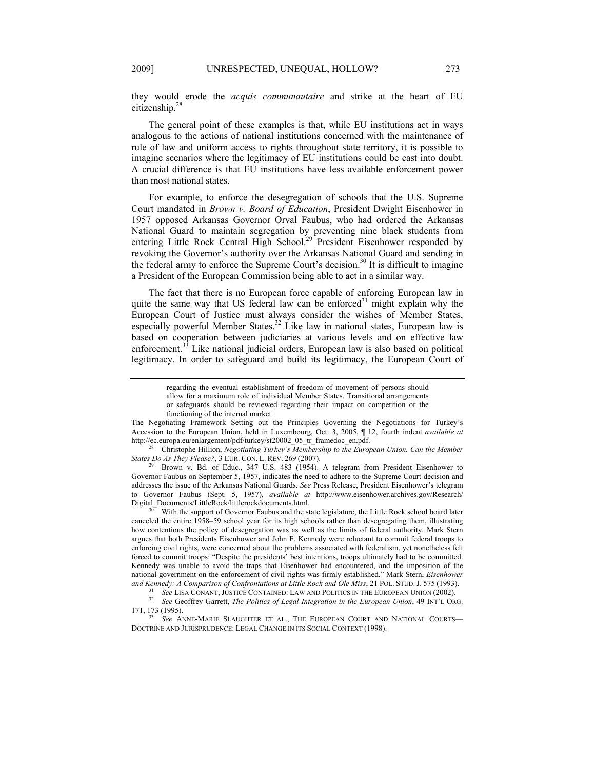they would erode the *acquis communautaire* and strike at the heart of EU citizenship.28

The general point of these examples is that, while EU institutions act in ways analogous to the actions of national institutions concerned with the maintenance of rule of law and uniform access to rights throughout state territory, it is possible to imagine scenarios where the legitimacy of EU institutions could be cast into doubt. A crucial difference is that EU institutions have less available enforcement power than most national states.

For example, to enforce the desegregation of schools that the U.S. Supreme Court mandated in *Brown v. Board of Education*, President Dwight Eisenhower in 1957 opposed Arkansas Governor Orval Faubus, who had ordered the Arkansas National Guard to maintain segregation by preventing nine black students from entering Little Rock Central High School.<sup>29</sup> President Eisenhower responded by revoking the Governor's authority over the Arkansas National Guard and sending in the federal army to enforce the Supreme Court's decision.<sup>30</sup> It is difficult to imagine a President of the European Commission being able to act in a similar way.

The fact that there is no European force capable of enforcing European law in quite the same way that US federal law can be enforced<sup>31</sup> might explain why the European Court of Justice must always consider the wishes of Member States, especially powerful Member States.<sup>32</sup> Like law in national states, European law is based on cooperation between judiciaries at various levels and on effective law enforcement.<sup>33</sup> Like national judicial orders, European law is also based on political legitimacy. In order to safeguard and build its legitimacy, the European Court of

Governor Faubus on September 5, 1957, indicates the need to adhere to the Supreme Court decision and addresses the issue of the Arkansas National Guards. *See* Press Release, President Eisenhower's telegram to Governor Faubus (Sept. 5, 1957), *available at* http://www.eisenhower.archives.gov/Research/

With the support of Governor Faubus and the state legislature, the Little Rock school board later canceled the entire 1958–59 school year for its high schools rather than desegregating them, illustrating how contentious the policy of desegregation was as well as the limits of federal authority. Mark Stern argues that both Presidents Eisenhower and John F. Kennedy were reluctant to commit federal troops to enforcing civil rights, were concerned about the problems associated with federalism, yet nonetheless felt forced to commit troops: "Despite the presidents' best intentions, troops ultimately had to be committed. Kennedy was unable to avoid the traps that Eisenhower had encountered, and the imposition of the national government on the enforcement of civil rights was firmly established." Mark Stern, *Eisenhower*  and Kennedy: A Comparison of Confrontations at Little Rock and Ole Miss, 21 POL. STUD. J. 575 (1993).<br><sup>31</sup> See LISA CONANT, JUSTICE CONTAINED: LAW AND POLITICS IN THE EUROPEAN UNION (2002).<br><sup>32</sup> See Geoffrey Garrett, *The* 

regarding the eventual establishment of freedom of movement of persons should allow for a maximum role of individual Member States. Transitional arrangements or safeguards should be reviewed regarding their impact on competition or the functioning of the internal market.

The Negotiating Framework Setting out the Principles Governing the Negotiations for Turkey's Accession to the European Union, held in Luxembourg, Oct. 3, 2005, ¶ 12, fourth indent *available at*  http://ec.europa.eu/enlargement/pdf/turkey/st20002\_05\_tr\_framedoc\_en.pdf.

<sup>28</sup> Christophe Hillion, *Negotiating Turkey's Membership to the European Union. Can the Member States Do As They Please?*, 3 EUR. CON. L. REV. 269 (2007).<br><sup>29</sup> Brown v. Bd. of Educ., 347 U.S. 483 (1954). A telegram from President Eisenhower to

<sup>171, 173 (1995). &</sup>lt;sup>33</sup> See ANNE-MARIE SLAUGHTER ET AL., THE EUROPEAN COURT AND NATIONAL COURTS—

DOCTRINE AND JURISPRUDENCE: LEGAL CHANGE IN ITS SOCIAL CONTEXT (1998).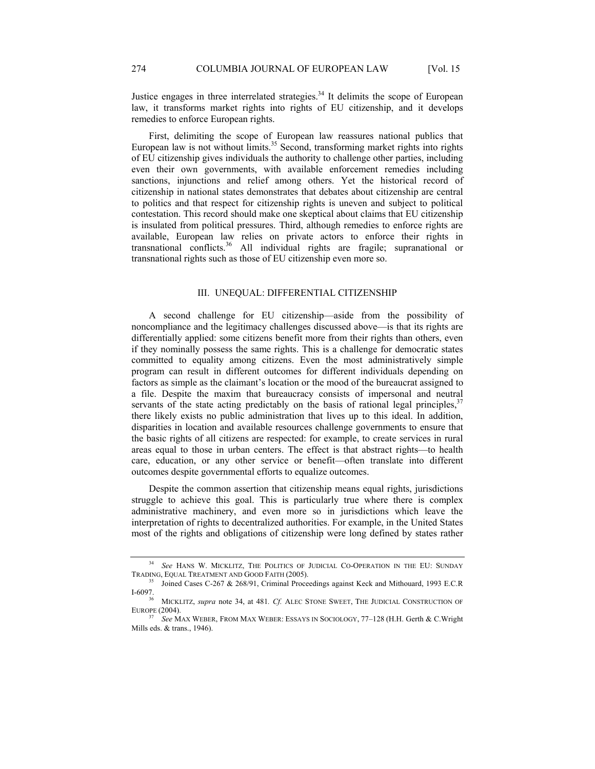Justice engages in three interrelated strategies.<sup>34</sup> It delimits the scope of European law, it transforms market rights into rights of EU citizenship, and it develops remedies to enforce European rights.

First, delimiting the scope of European law reassures national publics that European law is not without limits.<sup>35</sup> Second, transforming market rights into rights of EU citizenship gives individuals the authority to challenge other parties, including even their own governments, with available enforcement remedies including sanctions, injunctions and relief among others. Yet the historical record of citizenship in national states demonstrates that debates about citizenship are central to politics and that respect for citizenship rights is uneven and subject to political contestation. This record should make one skeptical about claims that EU citizenship is insulated from political pressures. Third, although remedies to enforce rights are available, European law relies on private actors to enforce their rights in transnational conflicts.36 All individual rights are fragile; supranational or transnational rights such as those of EU citizenship even more so.

#### III. UNEQUAL: DIFFERENTIAL CITIZENSHIP

A second challenge for EU citizenship—aside from the possibility of noncompliance and the legitimacy challenges discussed above—is that its rights are differentially applied: some citizens benefit more from their rights than others, even if they nominally possess the same rights. This is a challenge for democratic states committed to equality among citizens. Even the most administratively simple program can result in different outcomes for different individuals depending on factors as simple as the claimant's location or the mood of the bureaucrat assigned to a file. Despite the maxim that bureaucracy consists of impersonal and neutral servants of the state acting predictably on the basis of rational legal principles,  $37$ there likely exists no public administration that lives up to this ideal. In addition, disparities in location and available resources challenge governments to ensure that the basic rights of all citizens are respected: for example, to create services in rural areas equal to those in urban centers. The effect is that abstract rights—to health care, education, or any other service or benefit—often translate into different outcomes despite governmental efforts to equalize outcomes.

Despite the common assertion that citizenship means equal rights, jurisdictions struggle to achieve this goal. This is particularly true where there is complex administrative machinery, and even more so in jurisdictions which leave the interpretation of rights to decentralized authorities. For example, in the United States most of the rights and obligations of citizenship were long defined by states rather

<sup>34</sup> *See* HANS W. MICKLITZ, THE POLITICS OF JUDICIAL CO-OPERATION IN THE EU: SUNDAY TRADING, EQUAL TREATMENT AND GOOD FAITH (2005). 35 Joined Cases C-267 & 268/91, Criminal Proceedings against Keck and Mithouard, 1993 E.C.R

I-6097. 36 MICKLITZ, *supra* note 34, at 481*. Cf.* ALEC STONE SWEET, THE JUDICIAL CONSTRUCTION OF

EUROPE (2004). 37 *See* MAX WEBER, FROM MAX WEBER: ESSAYS IN SOCIOLOGY, 77–128 (H.H. Gerth & C.Wright

Mills eds. & trans., 1946).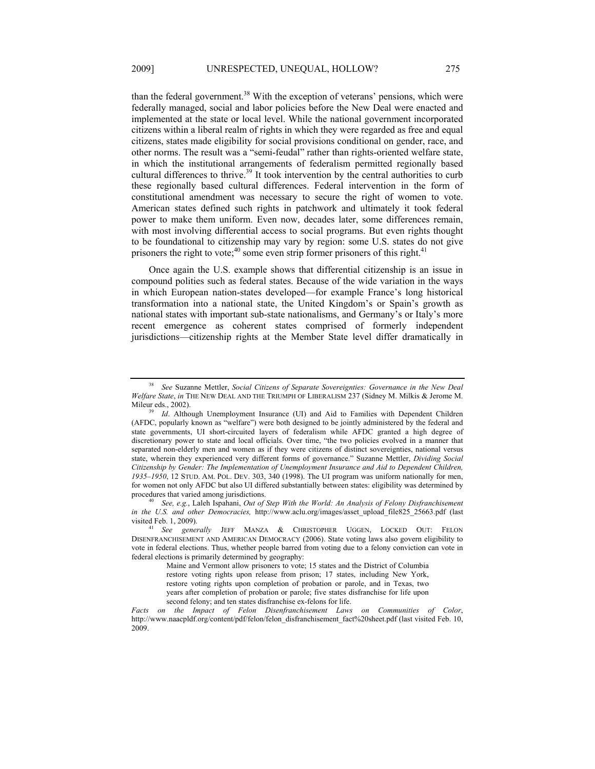than the federal government.<sup>38</sup> With the exception of veterans' pensions, which were federally managed, social and labor policies before the New Deal were enacted and implemented at the state or local level. While the national government incorporated citizens within a liberal realm of rights in which they were regarded as free and equal citizens, states made eligibility for social provisions conditional on gender, race, and other norms. The result was a "semi-feudal" rather than rights-oriented welfare state, in which the institutional arrangements of federalism permitted regionally based cultural differences to thrive.<sup>39</sup> It took intervention by the central authorities to curb these regionally based cultural differences. Federal intervention in the form of constitutional amendment was necessary to secure the right of women to vote. American states defined such rights in patchwork and ultimately it took federal power to make them uniform. Even now, decades later, some differences remain, with most involving differential access to social programs. But even rights thought to be foundational to citizenship may vary by region: some U.S. states do not give prisoners the right to vote; $^{40}$  some even strip former prisoners of this right.<sup>41</sup>

Once again the U.S. example shows that differential citizenship is an issue in compound polities such as federal states. Because of the wide variation in the ways in which European nation-states developed—for example France's long historical transformation into a national state, the United Kingdom's or Spain's growth as national states with important sub-state nationalisms, and Germany's or Italy's more recent emergence as coherent states comprised of formerly independent jurisdictions—citizenship rights at the Member State level differ dramatically in

<sup>38</sup> *See* Suzanne Mettler, *Social Citizens of Separate Sovereignties: Governance in the New Deal Welfare State*, *in* THE NEW DEAL AND THE TRIUMPH OF LIBERALISM 237 (Sidney M. Milkis & Jerome M. Mileur eds., 2002). 39 *Id*. Although Unemployment Insurance (UI) and Aid to Families with Dependent Children

<sup>(</sup>AFDC, popularly known as "welfare") were both designed to be jointly administered by the federal and state governments, UI short-circuited layers of federalism while AFDC granted a high degree of discretionary power to state and local officials. Over time, "the two policies evolved in a manner that separated non-elderly men and women as if they were citizens of distinct sovereignties, national versus state, wherein they experienced very different forms of governance." Suzanne Mettler, *Dividing Social Citizenship by Gender: The Implementation of Unemployment Insurance and Aid to Dependent Children, 1935–1950*, 12 STUD. AM. POL. DEV. 303, 340 (1998). The UI program was uniform nationally for men, for women not only AFDC but also UI differed substantially between states: eligibility was determined by procedures that varied among jurisdictions.<br><sup>40</sup> *See, e.g.*, Laleh Ispahani, *Out of Step With the World: An Analysis of Felony Disfranchisement* 

*in the U.S. and other Democracies,* http://www.aclu.org/images/asset\_upload\_file825\_25663.pdf (last visited Feb. 1, 2009).<br><sup>41</sup> *See generally* JEFF MANZA & CHRISTOPHER UGGEN, LOCKED OUT: FELON

DISENFRANCHISEMENT AND AMERICAN DEMOCRACY (2006). State voting laws also govern eligibility to vote in federal elections. Thus, whether people barred from voting due to a felony conviction can vote in federal elections is primarily determined by geography:

Maine and Vermont allow prisoners to vote; 15 states and the District of Columbia restore voting rights upon release from prison; 17 states, including New York, restore voting rights upon completion of probation or parole, and in Texas, two years after completion of probation or parole; five states disfranchise for life upon second felony; and ten states disfranchise ex-felons for life.

*Facts on the Impact of Felon Disenfranchisement Laws on Communities of Color*, http://www.naacpldf.org/content/pdf/felon/felon\_disfranchisement\_fact%20sheet.pdf (last visited Feb. 10, 2009.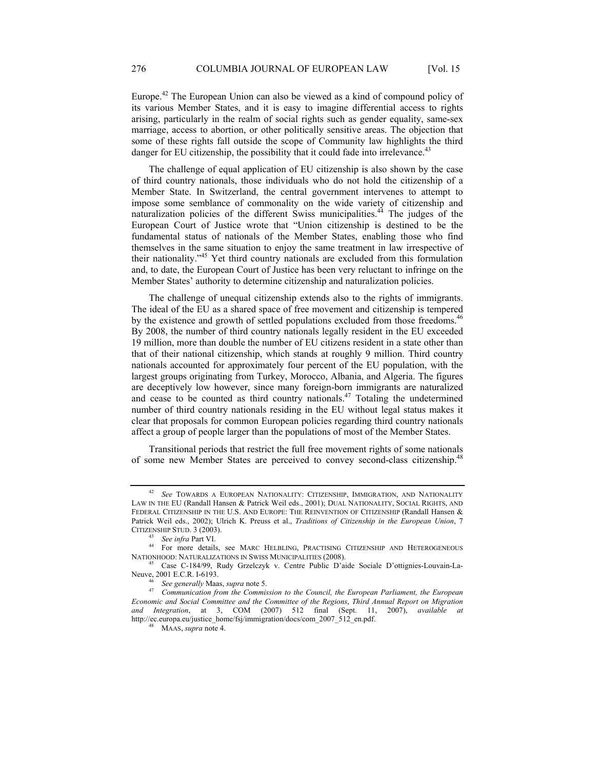Europe.42 The European Union can also be viewed as a kind of compound policy of its various Member States, and it is easy to imagine differential access to rights arising, particularly in the realm of social rights such as gender equality, same-sex marriage, access to abortion, or other politically sensitive areas. The objection that some of these rights fall outside the scope of Community law highlights the third danger for EU citizenship, the possibility that it could fade into irrelevance.<sup>43</sup>

The challenge of equal application of EU citizenship is also shown by the case of third country nationals, those individuals who do not hold the citizenship of a Member State. In Switzerland, the central government intervenes to attempt to impose some semblance of commonality on the wide variety of citizenship and naturalization policies of the different Swiss municipalities. $44$  The judges of the European Court of Justice wrote that "Union citizenship is destined to be the fundamental status of nationals of the Member States, enabling those who find themselves in the same situation to enjoy the same treatment in law irrespective of their nationality."45 Yet third country nationals are excluded from this formulation and, to date, the European Court of Justice has been very reluctant to infringe on the Member States' authority to determine citizenship and naturalization policies.

The challenge of unequal citizenship extends also to the rights of immigrants. The ideal of the EU as a shared space of free movement and citizenship is tempered by the existence and growth of settled populations excluded from those freedoms.<sup>46</sup> By 2008, the number of third country nationals legally resident in the EU exceeded 19 million, more than double the number of EU citizens resident in a state other than that of their national citizenship, which stands at roughly 9 million. Third country nationals accounted for approximately four percent of the EU population, with the largest groups originating from Turkey, Morocco, Albania, and Algeria. The figures are deceptively low however, since many foreign-born immigrants are naturalized and cease to be counted as third country nationals.<sup>47</sup> Totaling the undetermined number of third country nationals residing in the EU without legal status makes it clear that proposals for common European policies regarding third country nationals affect a group of people larger than the populations of most of the Member States.

Transitional periods that restrict the full free movement rights of some nationals of some new Member States are perceived to convey second-class citizenship.<sup>48</sup>

<sup>42</sup> *See* TOWARDS A EUROPEAN NATIONALITY: CITIZENSHIP, IMMIGRATION, AND NATIONALITY LAW IN THE EU (Randall Hansen & Patrick Weil eds., 2001); DUAL NATIONALITY, SOCIAL RIGHTS, AND FEDERAL CITIZENSHIP IN THE U.S. AND EUROPE: THE REINVENTION OF CITIZENSHIP (Randall Hansen & Patrick Weil eds., 2002); Ulrich K. Preuss et al., *Traditions of Citizenship in the European Union*, 7

CITIZENSHIP STUD. 3 (2003). 43 *See infra* Part VI. 44 For more details, see MARC HELBLING, PRACTISING CITIZENSHIP AND HETEROGENEOUS NATIONHOOD: NATURALIZATIONS IN SWISS MUNICIPALITIES (2008). 45 Case C-184/99, Rudy Grzelczyk v. Centre Public D'aide Sociale D'ottignies-Louvain-La-

Neuve, 2001 E.C.R. I-6193.<br>
<sup>46</sup> *See generally* Maas, *supra* note 5.<br> *47 Communication from the Commi* 

<sup>47</sup> *Communication from the Commission to the Council, the European Parliament, the European Economic and Social Committee and the Committee of the Regions*, *Third Annual Report on Migration and Integration*, at 3, COM (2007) 512 final (Sept. 11, 2007), *available at* http://ec.europa.eu/justice\_home/fsj/immigration/docs/com\_2007\_512\_en.pdf. 48 MAAS, *supra* note 4.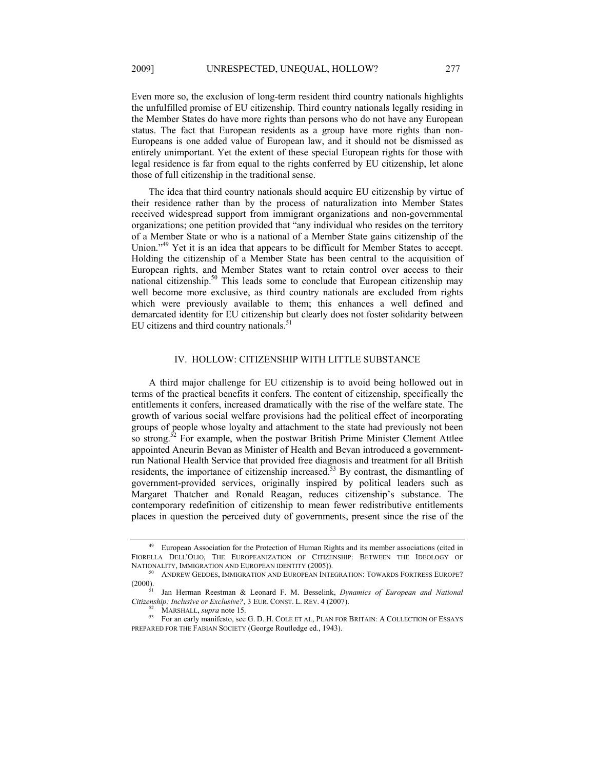Even more so, the exclusion of long-term resident third country nationals highlights the unfulfilled promise of EU citizenship. Third country nationals legally residing in the Member States do have more rights than persons who do not have any European status. The fact that European residents as a group have more rights than non-Europeans is one added value of European law, and it should not be dismissed as entirely unimportant. Yet the extent of these special European rights for those with legal residence is far from equal to the rights conferred by EU citizenship, let alone those of full citizenship in the traditional sense.

The idea that third country nationals should acquire EU citizenship by virtue of their residence rather than by the process of naturalization into Member States received widespread support from immigrant organizations and non-governmental organizations; one petition provided that "any individual who resides on the territory of a Member State or who is a national of a Member State gains citizenship of the Union."<sup>49</sup> Yet it is an idea that appears to be difficult for Member States to accept. Holding the citizenship of a Member State has been central to the acquisition of European rights, and Member States want to retain control over access to their national citizenship.<sup>50</sup> This leads some to conclude that European citizenship may well become more exclusive, as third country nationals are excluded from rights which were previously available to them; this enhances a well defined and demarcated identity for EU citizenship but clearly does not foster solidarity between EU citizens and third country nationals. $51$ 

## IV. HOLLOW: CITIZENSHIP WITH LITTLE SUBSTANCE

A third major challenge for EU citizenship is to avoid being hollowed out in terms of the practical benefits it confers. The content of citizenship, specifically the entitlements it confers, increased dramatically with the rise of the welfare state. The growth of various social welfare provisions had the political effect of incorporating groups of people whose loyalty and attachment to the state had previously not been so strong.<sup>52</sup> For example, when the postwar British Prime Minister Clement Attlee appointed Aneurin Bevan as Minister of Health and Bevan introduced a governmentrun National Health Service that provided free diagnosis and treatment for all British residents, the importance of citizenship increased.<sup>53</sup> By contrast, the dismantling of government-provided services, originally inspired by political leaders such as Margaret Thatcher and Ronald Reagan, reduces citizenship's substance. The contemporary redefinition of citizenship to mean fewer redistributive entitlements places in question the perceived duty of governments, present since the rise of the

<sup>49</sup> European Association for the Protection of Human Rights and its member associations (cited in FIORELLA DELL'OLIO, THE EUROPEANIZATION OF CITIZENSHIP: BETWEEN THE IDEOLOGY OF

NATIONALITY, IMMIGRATION AND EUROPEAN IDENTITY (2005)).<br><sup>50</sup> ANDREW GEDDES, IMMIGRATION AND EUROPEAN INTEGRATION: TOWARDS FORTRESS EUROPE?<br>(2000).

<sup>&</sup>lt;sup>51</sup> Jan Herman Reestman & Leonard F. M. Besselink, *Dynamics of European and National Citizenship: Inclusive or Exclusive?*, 3 EUR. CONST. L. REV. 4 (2007).

<sup>&</sup>lt;sup>52</sup> MARSHALL, *supra* note 15.<br><sup>53</sup> For an early manifesto, see G. D. H. COLE ET AL, PLAN FOR BRITAIN: A COLLECTION OF ESSAYS PREPARED FOR THE FABIAN SOCIETY (George Routledge ed., 1943).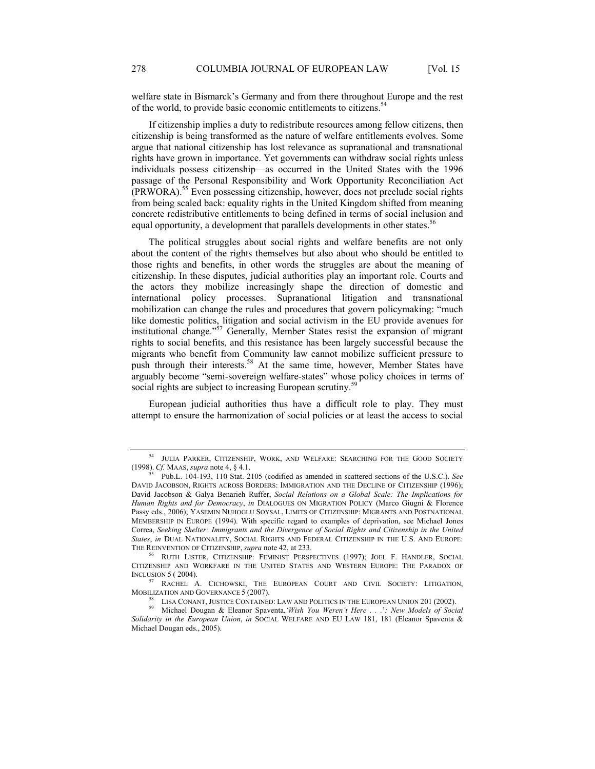welfare state in Bismarck's Germany and from there throughout Europe and the rest of the world, to provide basic economic entitlements to citizens.<sup>5</sup>

If citizenship implies a duty to redistribute resources among fellow citizens, then citizenship is being transformed as the nature of welfare entitlements evolves. Some argue that national citizenship has lost relevance as supranational and transnational rights have grown in importance. Yet governments can withdraw social rights unless individuals possess citizenship—as occurred in the United States with the 1996 passage of the Personal Responsibility and Work Opportunity Reconciliation Act (PRWORA).55 Even possessing citizenship, however, does not preclude social rights from being scaled back: equality rights in the United Kingdom shifted from meaning concrete redistributive entitlements to being defined in terms of social inclusion and equal opportunity, a development that parallels developments in other states.<sup>56</sup>

The political struggles about social rights and welfare benefits are not only about the content of the rights themselves but also about who should be entitled to those rights and benefits, in other words the struggles are about the meaning of citizenship. In these disputes, judicial authorities play an important role. Courts and the actors they mobilize increasingly shape the direction of domestic and international policy processes. Supranational litigation and transnational mobilization can change the rules and procedures that govern policymaking: "much like domestic politics, litigation and social activism in the EU provide avenues for institutional change."<sup>57</sup> Generally, Member States resist the expansion of migrant rights to social benefits, and this resistance has been largely successful because the migrants who benefit from Community law cannot mobilize sufficient pressure to push through their interests.<sup>58</sup> At the same time, however, Member States have arguably become "semi-sovereign welfare-states" whose policy choices in terms of social rights are subject to increasing European scrutiny.<sup>5</sup>

European judicial authorities thus have a difficult role to play. They must attempt to ensure the harmonization of social policies or at least the access to social

<sup>&</sup>lt;sup>54</sup> JULIA PARKER, CITIZENSHIP, WORK, AND WELFARE: SEARCHING FOR THE GOOD SOCIETY (1998). Cf. MAAS, *supra* note 4, § 4.1.<br><sup>55</sup> Pub L, 104, 103, 110, Stat. 2105 (ordified as emended in seattered sections of the U.S.C.). S

Pub.L. 104-193, 110 Stat. 2105 (codified as amended in scattered sections of the U.S.C.). See DAVID JACOBSON, RIGHTS ACROSS BORDERS: IMMIGRATION AND THE DECLINE OF CITIZENSHIP (1996); David Jacobson & Galya Benarieh Ruffer, *Social Relations on a Global Scale: The Implications for Human Rights and for Democracy*, *in* DIALOGUES ON MIGRATION POLICY (Marco Giugni & Florence Passy eds., 2006); YASEMIN NUHOGLU SOYSAL, LIMITS OF CITIZENSHIP: MIGRANTS AND POSTNATIONAL MEMBERSHIP IN EUROPE (1994). With specific regard to examples of deprivation, see Michael Jones Correa, *Seeking Shelter: Immigrants and the Divergence of Social Rights and Citizenship in the United States*, *in* DUAL NATIONALITY, SOCIAL RIGHTS AND FEDERAL CITIZENSHIP IN THE U.S. AND EUROPE: THE REINVENTION OF CITIZENSHIP, *supra* note 42, at 233.<br><sup>56</sup> RUTH LISTER, CITIZENSHIP: FEMINIST PERSPECTIVES (1997); JOEL F. HANDLER, SOCIAL

CITIZENSHIP AND WORKFARE IN THE UNITED STATES AND WESTERN EUROPE: THE PARADOX OF INCLUSION 5 ( 2004).<br><sup>57</sup> RACHEL A. CICHOWSKI, THE EUROPEAN COURT AND CIVIL SOCIETY: LITIGATION,

MOBILIZATION AND GOVERNANCE 5 (2007).<br><sup>58</sup> LISA CONANT, JUSTICE CONTAINED: LAW AND POLITICS IN THE EUROPEAN UNION 201 (2002).<br><sup>59</sup> Michael Dougan & Eleanor Spaventa, *Wish You Weren't Here* . . .': New Models of Social

*Solidarity in the European Union*, *in* SOCIAL WELFARE AND EU LAW 181, 181 (Eleanor Spaventa & Michael Dougan eds., 2005).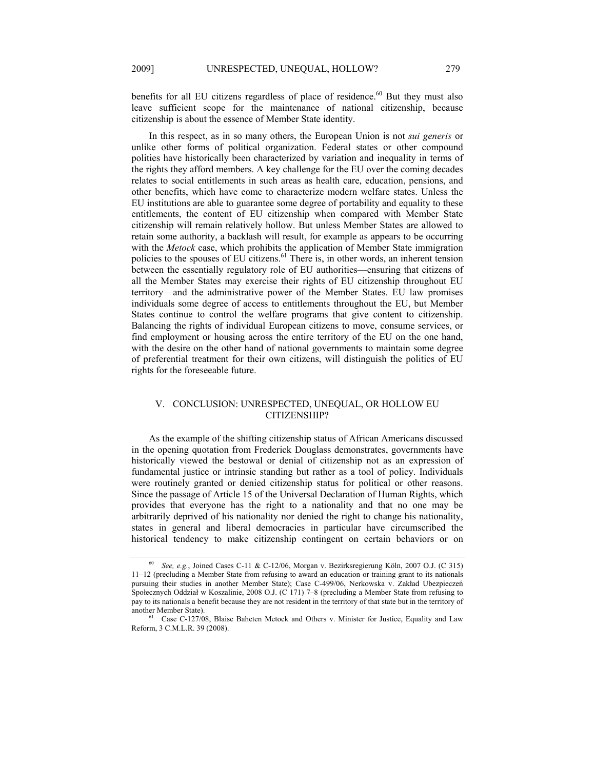benefits for all EU citizens regardless of place of residence.<sup>60</sup> But they must also leave sufficient scope for the maintenance of national citizenship, because citizenship is about the essence of Member State identity.

In this respect, as in so many others, the European Union is not *sui generis* or unlike other forms of political organization. Federal states or other compound polities have historically been characterized by variation and inequality in terms of the rights they afford members. A key challenge for the EU over the coming decades relates to social entitlements in such areas as health care, education, pensions, and other benefits, which have come to characterize modern welfare states. Unless the EU institutions are able to guarantee some degree of portability and equality to these entitlements, the content of EU citizenship when compared with Member State citizenship will remain relatively hollow. But unless Member States are allowed to retain some authority, a backlash will result, for example as appears to be occurring with the *Metock* case, which prohibits the application of Member State immigration policies to the spouses of EU citizens.<sup>61</sup> There is, in other words, an inherent tension between the essentially regulatory role of EU authorities—ensuring that citizens of all the Member States may exercise their rights of EU citizenship throughout EU territory—and the administrative power of the Member States. EU law promises individuals some degree of access to entitlements throughout the EU, but Member States continue to control the welfare programs that give content to citizenship. Balancing the rights of individual European citizens to move, consume services, or find employment or housing across the entire territory of the EU on the one hand, with the desire on the other hand of national governments to maintain some degree of preferential treatment for their own citizens, will distinguish the politics of EU rights for the foreseeable future.

### V. CONCLUSION: UNRESPECTED, UNEQUAL, OR HOLLOW EU CITIZENSHIP?

As the example of the shifting citizenship status of African Americans discussed in the opening quotation from Frederick Douglass demonstrates, governments have historically viewed the bestowal or denial of citizenship not as an expression of fundamental justice or intrinsic standing but rather as a tool of policy. Individuals were routinely granted or denied citizenship status for political or other reasons. Since the passage of Article 15 of the Universal Declaration of Human Rights, which provides that everyone has the right to a nationality and that no one may be arbitrarily deprived of his nationality nor denied the right to change his nationality, states in general and liberal democracies in particular have circumscribed the historical tendency to make citizenship contingent on certain behaviors or on

<sup>60</sup> *See, e.g.*, Joined Cases C-11 & C-12/06, Morgan v. Bezirksregierung Köln, 2007 O.J. (C 315) 11–12 (precluding a Member State from refusing to award an education or training grant to its nationals pursuing their studies in another Member State); Case C-499/06, Nerkowska v. Zakład Ubezpieczeń Społecznych Oddział w Koszalinie, 2008 O.J. (C 171) 7–8 (precluding a Member State from refusing to pay to its nationals a benefit because they are not resident in the territory of that state but in the territory of another Member State).<br><sup>61</sup> Case C-127/08, Blaise Baheten Metock and Others v. Minister for Justice, Equality and Law

Reform, 3 C.M.L.R. 39 (2008).